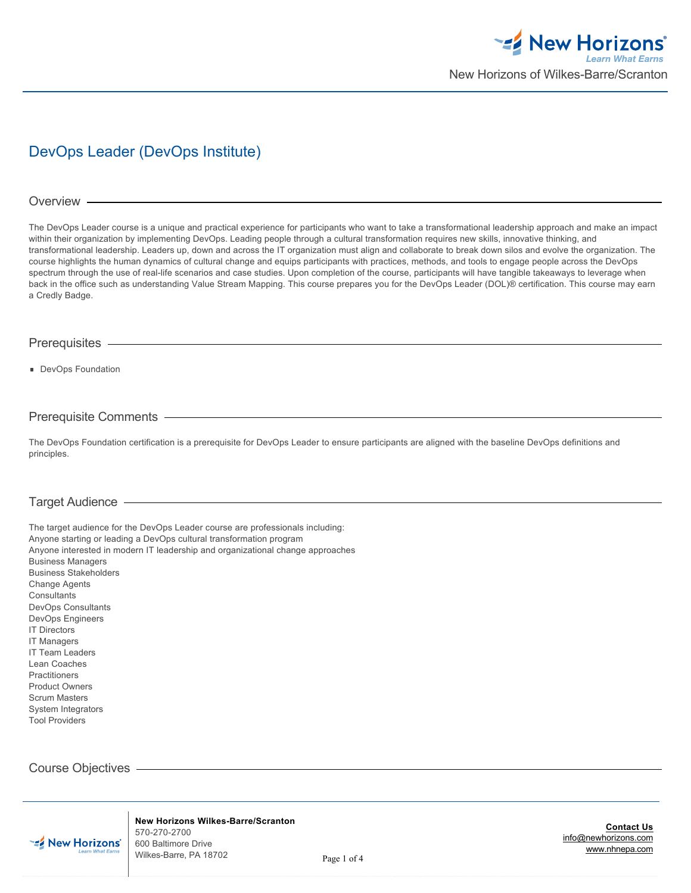# DevOps Leader (DevOps Institute)

## Overview -

The DevOps Leader course is a unique and practical experience for participants who want to take a transformational leadership approach and make an impact within their organization by implementing DevOps. Leading people through a cultural transformation requires new skills, innovative thinking, and transformational leadership. Leaders up, down and across the IT organization must align and collaborate to break down silos and evolve the organization. The course highlights the human dynamics of cultural change and equips participants with practices, methods, and tools to engage people across the DevOps spectrum through the use of real-life scenarios and case studies. Upon completion of the course, participants will have tangible takeaways to leverage when back in the office such as understanding Value Stream Mapping. This course prepares you for the DevOps Leader (DOL)® certification. This course may earn a Credly Badge.

# Prerequisites

**DevOps Foundation** 

# Prerequisite Comments

The DevOps Foundation certification is a prerequisite for DevOps Leader to ensure participants are aligned with the baseline DevOps definitions and principles.

# Target Audience

The target audience for the DevOps Leader course are professionals including: Anyone starting or leading a DevOps cultural transformation program Anyone interested in modern IT leadership and organizational change approaches Business Managers Business Stakeholders Change Agents **Consultants** DevOps Consultants DevOps Engineers IT Directors IT Managers IT Team Leaders Lean Coaches **Practitioners** Product Owners Scrum Masters System Integrators Tool Providers

Course Objectives



**New Horizons Wilkes-Barre/Scranton** 570-270-2700 600 Baltimore Drive Wilkes-Barre, PA 18702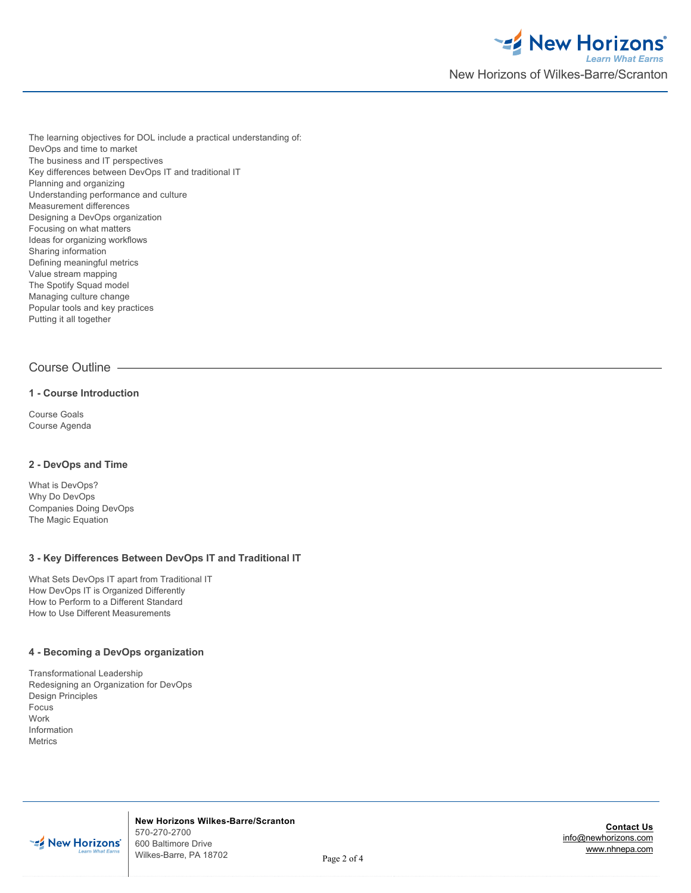The learning objectives for DOL include a practical understanding of: DevOps and time to market The business and IT perspectives Key differences between DevOps IT and traditional IT Planning and organizing Understanding performance and culture Measurement differences Designing a DevOps organization Focusing on what matters Ideas for organizing workflows Sharing information Defining meaningful metrics Value stream mapping The Spotify Squad model Managing culture change Popular tools and key practices Putting it all together

# Course Outline

#### **1 - Course Introduction**

Course Goals Course Agenda

## **2 - DevOps and Time**

What is DevOps? Why Do DevOps Companies Doing DevOps The Magic Equation

## **3 - Key Differences Between DevOps IT and Traditional IT**

What Sets DevOps IT apart from Traditional IT How DevOps IT is Organized Differently How to Perform to a Different Standard How to Use Different Measurements

#### **4 - Becoming a DevOps organization**

Transformational Leadership Redesigning an Organization for DevOps Design Principles Focus Work Information Metrics



**New Horizons Wilkes-Barre/Scranton** 570-270-2700 600 Baltimore Drive Wilkes-Barre, PA 18702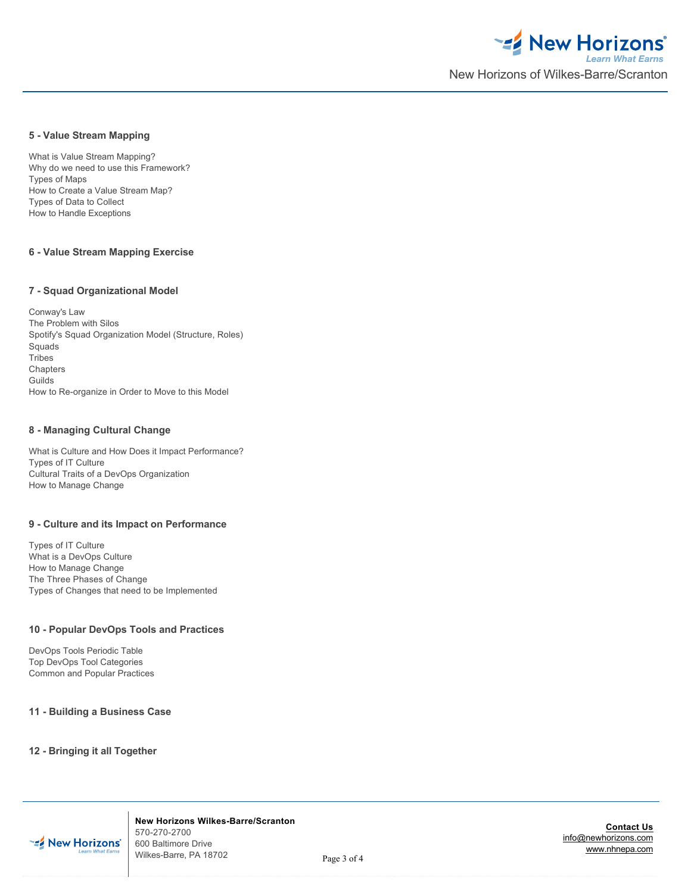#### **5 - Value Stream Mapping**

What is Value Stream Mapping? Why do we need to use this Framework? Types of Maps How to Create a Value Stream Map? Types of Data to Collect How to Handle Exceptions

#### **6 - Value Stream Mapping Exercise**

## **7 - Squad Organizational Model**

Conway's Law The Problem with Silos Spotify's Squad Organization Model (Structure, Roles) **Squads Tribes Chapters** Guilds How to Re-organize in Order to Move to this Model

#### **8 - Managing Cultural Change**

What is Culture and How Does it Impact Performance? Types of IT Culture Cultural Traits of a DevOps Organization How to Manage Change

#### **9 - Culture and its Impact on Performance**

Types of IT Culture What is a DevOps Culture How to Manage Change The Three Phases of Change Types of Changes that need to be Implemented

## **10 - Popular DevOps Tools and Practices**

DevOps Tools Periodic Table Top DevOps Tool Categories Common and Popular Practices

#### **11 - Building a Business Case**

## **12 - Bringing it all Together**



**New Horizons Wilkes-Barre/Scranton** 570-270-2700 600 Baltimore Drive Wilkes-Barre, PA 18702